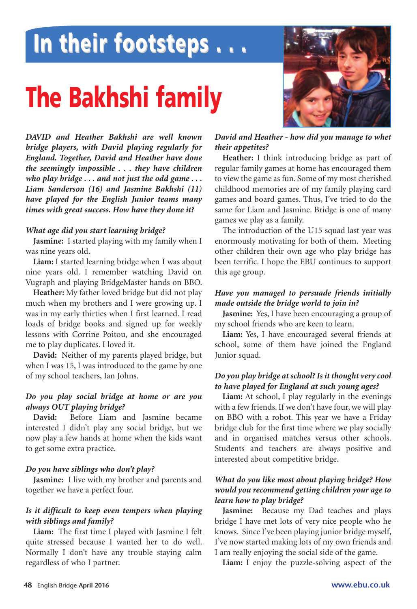## **In their footsteps . . . In their footsteps . . .**

# **The Bakhshi family**



*DAVID and Heather Bakhshi are well known bridge players, with David playing regularly for England. Together, David and Heather have done the seemingly impossible . . . they have children who play bridge . . . and not just the odd game . . . Liam Sanderson (16) and Jasmine Bakhshi (11) have played for the English Junior teams many times with great success. How have they done it?*

#### *What age did you start learning bridge?*

**Jasmine:** I started playing with my family when I was nine years old.

**Liam:** I started learning bridge when I was about nine years old. I remember watching David on Vugraph and playing BridgeMaster hands on BBO.

**Heather:** My father loved bridge but did not play much when my brothers and I were growing up. I was in my early thirties when I first learned. I read loads of bridge books and signed up for weekly lessons with Corrine Poitou, and she encouraged me to play duplicates. I loved it.

**David:** Neither of my parents played bridge, but when I was 15, I was introduced to the game by one of my school teachers, Ian Johns.

#### *Do you play social bridge at home or are you always OUT playing bridge?*

**David:** Before Liam and Jasmine became interested I didn't play any social bridge, but we now play a few hands at home when the kids want to get some extra practice.

#### *Do you have siblings who don't play?*

**Jasmine:** I live with my brother and parents and together we have a perfect four.

#### *Is it difficult to keep even tempers when playing with siblings and family?*

**Liam:** The first time I played with Jasmine I felt quite stressed because I wanted her to do well. Normally I don't have any trouble staying calm regardless of who I partner.

#### *David and Heather - how did you manage to whet their appetites?*

**Heather:** I think introducing bridge as part of regular family games at home has encouraged them to view the game as fun. Some of my most cherished childhood memories are of my family playing card games and board games. Thus, I've tried to do the same for Liam and Jasmine. Bridge is one of many games we play as a family.

The introduction of the U15 squad last year was enormously motivating for both of them. Meeting other children their own age who play bridge has been terrific. I hope the EBU continues to support this age group.

#### *Have you managed to persuade friends initially made outside the bridge world to join in?*

**Jasmine:** Yes, I have been encouraging a group of my school friends who are keen to learn.

**Liam:** Yes, I have encouraged several friends at school, some of them have joined the England Junior squad.

#### *Do you play bridge at school? Is it thought very cool to have played for England at such young ages?*

**Liam:** At school, I play regularly in the evenings with a few friends. If we don't have four, we will play on BBO with a robot. This year we have a Friday bridge club for the first time where we play socially and in organised matches versus other schools. Students and teachers are always positive and interested about competitive bridge.

#### *What do you like most about playing bridge? How would you recommend getting children your age to learn how to play bridge?*

**Jasmine:** Because my Dad teaches and plays bridge I have met lots of very nice people who he knows. Since I've been playing junior bridge myself, I've now started making lots of my own friends and I am really enjoying the social side of the game.

**Liam:** I enjoy the puzzle-solving aspect of the